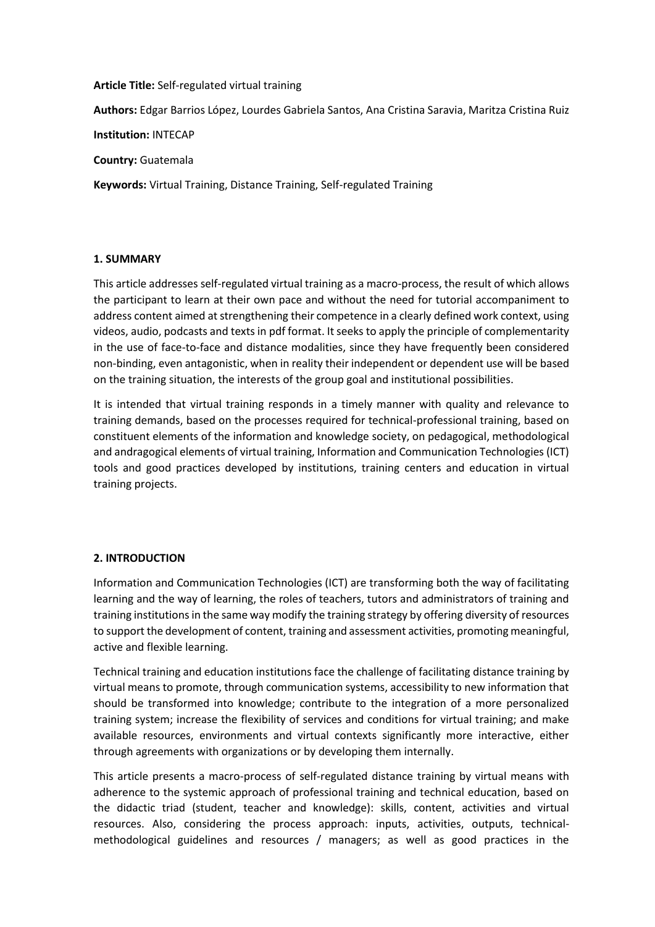#### **Article Title:** Self-regulated virtual training

**Authors:** Edgar Barrios López, Lourdes Gabriela Santos, Ana Cristina Saravia, Maritza Cristina Ruiz

**Institution:** INTECAP

**Country:** Guatemala

**Keywords:** Virtual Training, Distance Training, Self-regulated Training

### **1. SUMMARY**

This article addresses self-regulated virtual training as a macro-process, the result of which allows the participant to learn at their own pace and without the need for tutorial accompaniment to address content aimed at strengthening their competence in a clearly defined work context, using videos, audio, podcasts and texts in pdf format. It seeks to apply the principle of complementarity in the use of face-to-face and distance modalities, since they have frequently been considered non-binding, even antagonistic, when in reality their independent or dependent use will be based on the training situation, the interests of the group goal and institutional possibilities.

It is intended that virtual training responds in a timely manner with quality and relevance to training demands, based on the processes required for technical-professional training, based on constituent elements of the information and knowledge society, on pedagogical, methodological and andragogical elements of virtual training, Information and Communication Technologies (ICT) tools and good practices developed by institutions, training centers and education in virtual training projects.

### **2. INTRODUCTION**

Information and Communication Technologies (ICT) are transforming both the way of facilitating learning and the way of learning, the roles of teachers, tutors and administrators of training and training institutions in the same way modify the training strategy by offering diversity of resources to support the development of content, training and assessment activities, promoting meaningful, active and flexible learning.

Technical training and education institutions face the challenge of facilitating distance training by virtual means to promote, through communication systems, accessibility to new information that should be transformed into knowledge; contribute to the integration of a more personalized training system; increase the flexibility of services and conditions for virtual training; and make available resources, environments and virtual contexts significantly more interactive, either through agreements with organizations or by developing them internally.

This article presents a macro-process of self-regulated distance training by virtual means with adherence to the systemic approach of professional training and technical education, based on the didactic triad (student, teacher and knowledge): skills, content, activities and virtual resources. Also, considering the process approach: inputs, activities, outputs, technicalmethodological guidelines and resources / managers; as well as good practices in the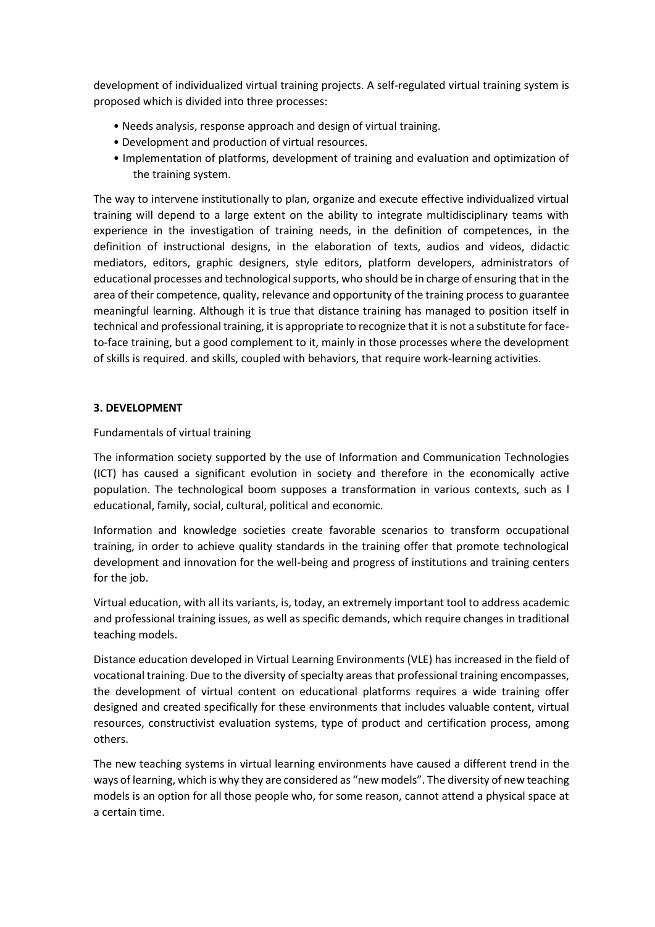development of individualized virtual training projects. A self-regulated virtual training system is proposed which is divided into three processes:

- Needs analysis, response approach and design of virtual training.
- Development and production of virtual resources.
- Implementation of platforms, development of training and evaluation and optimization of the training system.

The way to intervene institutionally to plan, organize and execute effective individualized virtual training will depend to a large extent on the ability to integrate multidisciplinary teams with experience in the investigation of training needs, in the definition of competences, in the definition of instructional designs, in the elaboration of texts, audios and videos, didactic mediators, editors, graphic designers, style editors, platform developers, administrators of educational processes and technological supports, who should be in charge of ensuring that in the area of their competence, quality, relevance and opportunity of the training process to guarantee meaningful learning. Although it is true that distance training has managed to position itself in technical and professional training, it is appropriate to recognize that it is not a substitute for faceto-face training, but a good complement to it, mainly in those processes where the development of skills is required. and skills, coupled with behaviors, that require work-learning activities.

# **3. DEVELOPMENT**

# Fundamentals of virtual training

The information society supported by the use of Information and Communication Technologies (ICT) has caused a significant evolution in society and therefore in the economically active population. The technological boom supposes a transformation in various contexts, such as l educational, family, social, cultural, political and economic.

Information and knowledge societies create favorable scenarios to transform occupational training, in order to achieve quality standards in the training offer that promote technological development and innovation for the well-being and progress of institutions and training centers for the job.

Virtual education, with all its variants, is, today, an extremely important tool to address academic and professional training issues, as well as specific demands, which require changes in traditional teaching models.

Distance education developed in Virtual Learning Environments (VLE) has increased in the field of vocational training. Due to the diversity of specialty areas that professional training encompasses, the development of virtual content on educational platforms requires a wide training offer designed and created specifically for these environments that includes valuable content, virtual resources, constructivist evaluation systems, type of product and certification process, among others.

The new teaching systems in virtual learning environments have caused a different trend in the ways of learning, which is why they are considered as "new models". The diversity of new teaching models is an option for all those people who, for some reason, cannot attend a physical space at a certain time.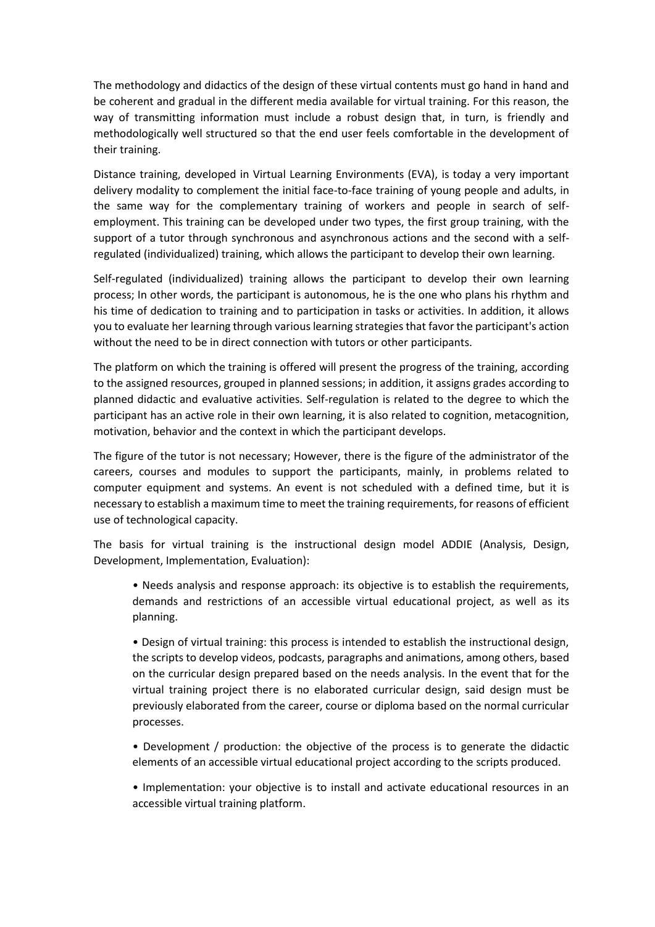The methodology and didactics of the design of these virtual contents must go hand in hand and be coherent and gradual in the different media available for virtual training. For this reason, the way of transmitting information must include a robust design that, in turn, is friendly and methodologically well structured so that the end user feels comfortable in the development of their training.

Distance training, developed in Virtual Learning Environments (EVA), is today a very important delivery modality to complement the initial face-to-face training of young people and adults, in the same way for the complementary training of workers and people in search of selfemployment. This training can be developed under two types, the first group training, with the support of a tutor through synchronous and asynchronous actions and the second with a selfregulated (individualized) training, which allows the participant to develop their own learning.

Self-regulated (individualized) training allows the participant to develop their own learning process; In other words, the participant is autonomous, he is the one who plans his rhythm and his time of dedication to training and to participation in tasks or activities. In addition, it allows you to evaluate her learning through various learning strategies that favor the participant's action without the need to be in direct connection with tutors or other participants.

The platform on which the training is offered will present the progress of the training, according to the assigned resources, grouped in planned sessions; in addition, it assigns grades according to planned didactic and evaluative activities. Self-regulation is related to the degree to which the participant has an active role in their own learning, it is also related to cognition, metacognition, motivation, behavior and the context in which the participant develops.

The figure of the tutor is not necessary; However, there is the figure of the administrator of the careers, courses and modules to support the participants, mainly, in problems related to computer equipment and systems. An event is not scheduled with a defined time, but it is necessary to establish a maximum time to meet the training requirements, for reasons of efficient use of technological capacity.

The basis for virtual training is the instructional design model ADDIE (Analysis, Design, Development, Implementation, Evaluation):

• Needs analysis and response approach: its objective is to establish the requirements, demands and restrictions of an accessible virtual educational project, as well as its planning.

• Design of virtual training: this process is intended to establish the instructional design, the scripts to develop videos, podcasts, paragraphs and animations, among others, based on the curricular design prepared based on the needs analysis. In the event that for the virtual training project there is no elaborated curricular design, said design must be previously elaborated from the career, course or diploma based on the normal curricular processes.

• Development / production: the objective of the process is to generate the didactic elements of an accessible virtual educational project according to the scripts produced.

• Implementation: your objective is to install and activate educational resources in an accessible virtual training platform.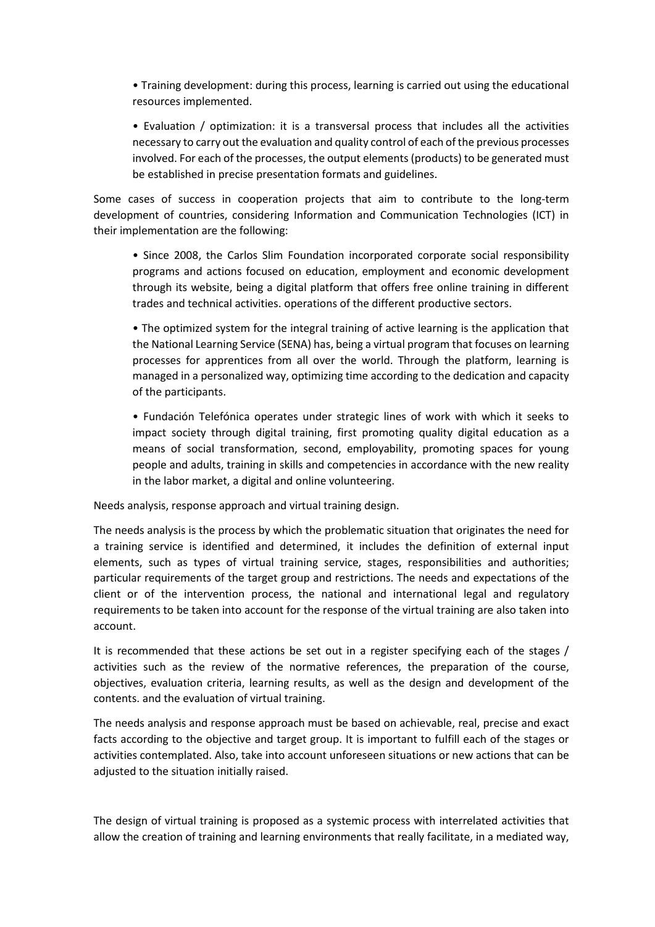• Training development: during this process, learning is carried out using the educational resources implemented.

• Evaluation / optimization: it is a transversal process that includes all the activities necessary to carry out the evaluation and quality control of each of the previous processes involved. For each of the processes, the output elements (products) to be generated must be established in precise presentation formats and guidelines.

Some cases of success in cooperation projects that aim to contribute to the long-term development of countries, considering Information and Communication Technologies (ICT) in their implementation are the following:

• Since 2008, the Carlos Slim Foundation incorporated corporate social responsibility programs and actions focused on education, employment and economic development through its website, being a digital platform that offers free online training in different trades and technical activities. operations of the different productive sectors.

• The optimized system for the integral training of active learning is the application that the National Learning Service (SENA) has, being a virtual program that focuses on learning processes for apprentices from all over the world. Through the platform, learning is managed in a personalized way, optimizing time according to the dedication and capacity of the participants.

• Fundación Telefónica operates under strategic lines of work with which it seeks to impact society through digital training, first promoting quality digital education as a means of social transformation, second, employability, promoting spaces for young people and adults, training in skills and competencies in accordance with the new reality in the labor market, a digital and online volunteering.

Needs analysis, response approach and virtual training design.

The needs analysis is the process by which the problematic situation that originates the need for a training service is identified and determined, it includes the definition of external input elements, such as types of virtual training service, stages, responsibilities and authorities; particular requirements of the target group and restrictions. The needs and expectations of the client or of the intervention process, the national and international legal and regulatory requirements to be taken into account for the response of the virtual training are also taken into account.

It is recommended that these actions be set out in a register specifying each of the stages / activities such as the review of the normative references, the preparation of the course, objectives, evaluation criteria, learning results, as well as the design and development of the contents. and the evaluation of virtual training.

The needs analysis and response approach must be based on achievable, real, precise and exact facts according to the objective and target group. It is important to fulfill each of the stages or activities contemplated. Also, take into account unforeseen situations or new actions that can be adjusted to the situation initially raised.

The design of virtual training is proposed as a systemic process with interrelated activities that allow the creation of training and learning environments that really facilitate, in a mediated way,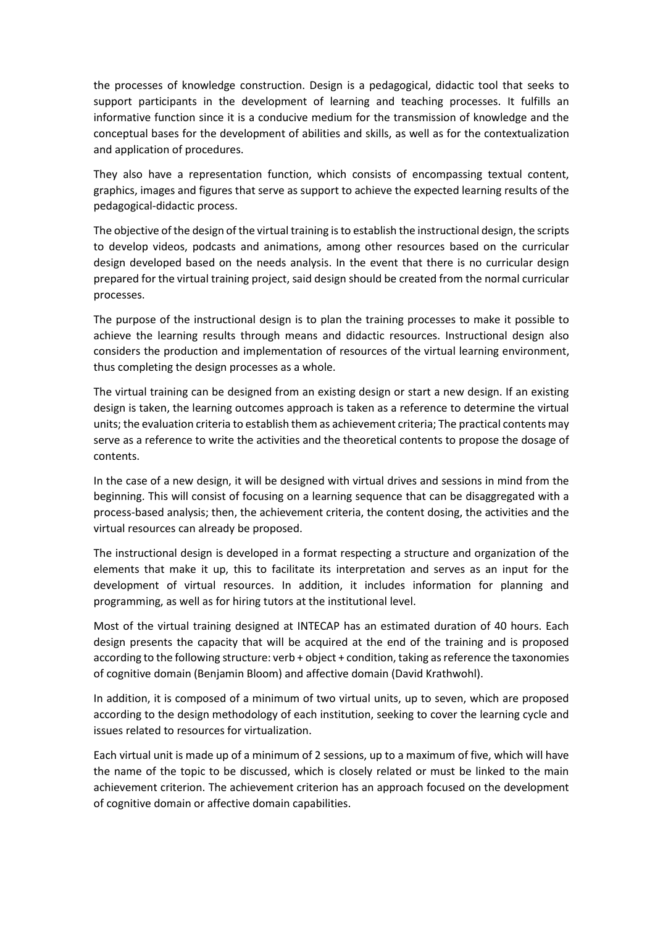the processes of knowledge construction. Design is a pedagogical, didactic tool that seeks to support participants in the development of learning and teaching processes. It fulfills an informative function since it is a conducive medium for the transmission of knowledge and the conceptual bases for the development of abilities and skills, as well as for the contextualization and application of procedures.

They also have a representation function, which consists of encompassing textual content, graphics, images and figures that serve as support to achieve the expected learning results of the pedagogical-didactic process.

The objective of the design of the virtual training is to establish the instructional design, the scripts to develop videos, podcasts and animations, among other resources based on the curricular design developed based on the needs analysis. In the event that there is no curricular design prepared for the virtual training project, said design should be created from the normal curricular processes.

The purpose of the instructional design is to plan the training processes to make it possible to achieve the learning results through means and didactic resources. Instructional design also considers the production and implementation of resources of the virtual learning environment, thus completing the design processes as a whole.

The virtual training can be designed from an existing design or start a new design. If an existing design is taken, the learning outcomes approach is taken as a reference to determine the virtual units; the evaluation criteria to establish them as achievement criteria; The practical contents may serve as a reference to write the activities and the theoretical contents to propose the dosage of contents.

In the case of a new design, it will be designed with virtual drives and sessions in mind from the beginning. This will consist of focusing on a learning sequence that can be disaggregated with a process-based analysis; then, the achievement criteria, the content dosing, the activities and the virtual resources can already be proposed.

The instructional design is developed in a format respecting a structure and organization of the elements that make it up, this to facilitate its interpretation and serves as an input for the development of virtual resources. In addition, it includes information for planning and programming, as well as for hiring tutors at the institutional level.

Most of the virtual training designed at INTECAP has an estimated duration of 40 hours. Each design presents the capacity that will be acquired at the end of the training and is proposed according to the following structure: verb + object + condition, taking as reference the taxonomies of cognitive domain (Benjamin Bloom) and affective domain (David Krathwohl).

In addition, it is composed of a minimum of two virtual units, up to seven, which are proposed according to the design methodology of each institution, seeking to cover the learning cycle and issues related to resources for virtualization.

Each virtual unit is made up of a minimum of 2 sessions, up to a maximum of five, which will have the name of the topic to be discussed, which is closely related or must be linked to the main achievement criterion. The achievement criterion has an approach focused on the development of cognitive domain or affective domain capabilities.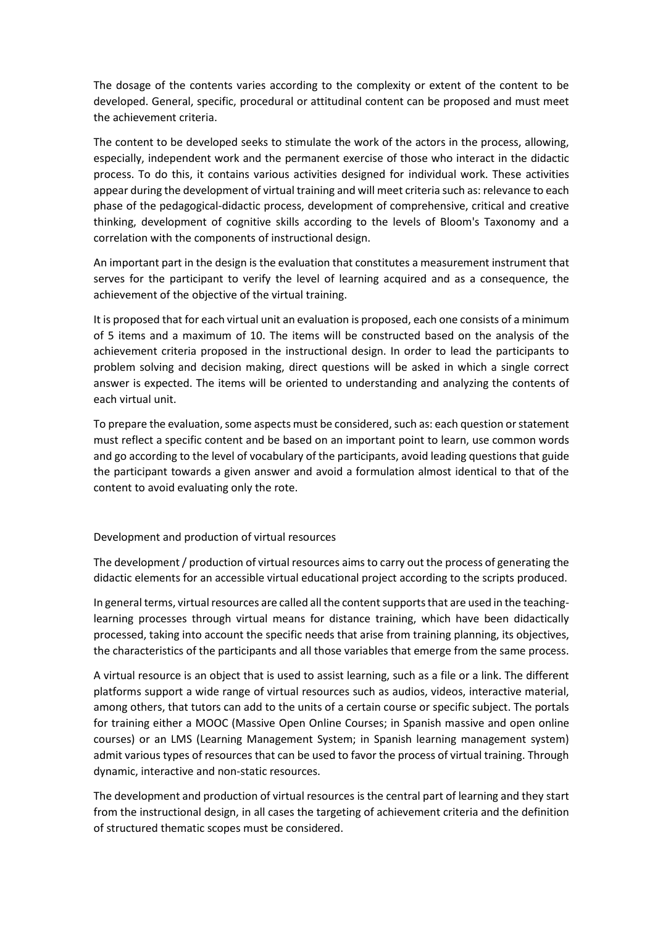The dosage of the contents varies according to the complexity or extent of the content to be developed. General, specific, procedural or attitudinal content can be proposed and must meet the achievement criteria.

The content to be developed seeks to stimulate the work of the actors in the process, allowing, especially, independent work and the permanent exercise of those who interact in the didactic process. To do this, it contains various activities designed for individual work. These activities appear during the development of virtual training and will meet criteria such as: relevance to each phase of the pedagogical-didactic process, development of comprehensive, critical and creative thinking, development of cognitive skills according to the levels of Bloom's Taxonomy and a correlation with the components of instructional design.

An important part in the design is the evaluation that constitutes a measurement instrument that serves for the participant to verify the level of learning acquired and as a consequence, the achievement of the objective of the virtual training.

It is proposed that for each virtual unit an evaluation is proposed, each one consists of a minimum of 5 items and a maximum of 10. The items will be constructed based on the analysis of the achievement criteria proposed in the instructional design. In order to lead the participants to problem solving and decision making, direct questions will be asked in which a single correct answer is expected. The items will be oriented to understanding and analyzing the contents of each virtual unit.

To prepare the evaluation, some aspects must be considered, such as: each question or statement must reflect a specific content and be based on an important point to learn, use common words and go according to the level of vocabulary of the participants, avoid leading questions that guide the participant towards a given answer and avoid a formulation almost identical to that of the content to avoid evaluating only the rote.

### Development and production of virtual resources

The development / production of virtual resources aims to carry out the process of generating the didactic elements for an accessible virtual educational project according to the scripts produced.

In general terms, virtual resources are called all the content supports that are used in the teachinglearning processes through virtual means for distance training, which have been didactically processed, taking into account the specific needs that arise from training planning, its objectives, the characteristics of the participants and all those variables that emerge from the same process.

A virtual resource is an object that is used to assist learning, such as a file or a link. The different platforms support a wide range of virtual resources such as audios, videos, interactive material, among others, that tutors can add to the units of a certain course or specific subject. The portals for training either a MOOC (Massive Open Online Courses; in Spanish massive and open online courses) or an LMS (Learning Management System; in Spanish learning management system) admit various types of resources that can be used to favor the process of virtual training. Through dynamic, interactive and non-static resources.

The development and production of virtual resources is the central part of learning and they start from the instructional design, in all cases the targeting of achievement criteria and the definition of structured thematic scopes must be considered.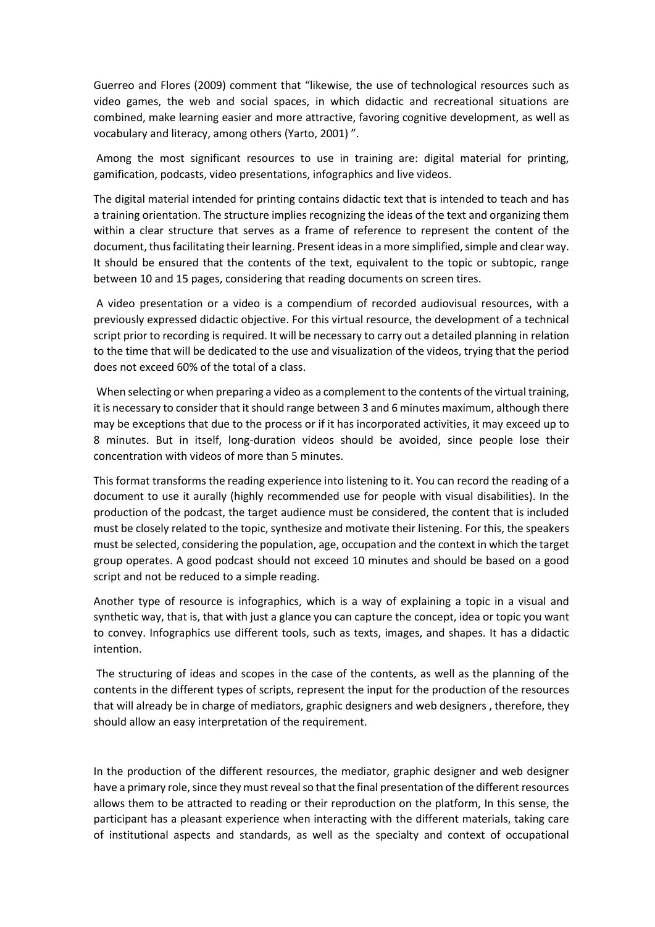Guerreo and Flores (2009) comment that "likewise, the use of technological resources such as video games, the web and social spaces, in which didactic and recreational situations are combined, make learning easier and more attractive, favoring cognitive development, as well as vocabulary and literacy, among others (Yarto, 2001) ".

Among the most significant resources to use in training are: digital material for printing, gamification, podcasts, video presentations, infographics and live videos.

The digital material intended for printing contains didactic text that is intended to teach and has a training orientation. The structure implies recognizing the ideas of the text and organizing them within a clear structure that serves as a frame of reference to represent the content of the document, thus facilitating their learning. Present ideas in a more simplified, simple and clear way. It should be ensured that the contents of the text, equivalent to the topic or subtopic, range between 10 and 15 pages, considering that reading documents on screen tires.

A video presentation or a video is a compendium of recorded audiovisual resources, with a previously expressed didactic objective. For this virtual resource, the development of a technical script prior to recording is required. It will be necessary to carry out a detailed planning in relation to the time that will be dedicated to the use and visualization of the videos, trying that the period does not exceed 60% of the total of a class.

When selecting or when preparing a video as a complement to the contents of the virtual training, it is necessary to consider that it should range between 3 and 6 minutes maximum, although there may be exceptions that due to the process or if it has incorporated activities, it may exceed up to 8 minutes. But in itself, long-duration videos should be avoided, since people lose their concentration with videos of more than 5 minutes.

This format transforms the reading experience into listening to it. You can record the reading of a document to use it aurally (highly recommended use for people with visual disabilities). In the production of the podcast, the target audience must be considered, the content that is included must be closely related to the topic, synthesize and motivate their listening. For this, the speakers must be selected, considering the population, age, occupation and the context in which the target group operates. A good podcast should not exceed 10 minutes and should be based on a good script and not be reduced to a simple reading.

Another type of resource is infographics, which is a way of explaining a topic in a visual and synthetic way, that is, that with just a glance you can capture the concept, idea or topic you want to convey. Infographics use different tools, such as texts, images, and shapes. It has a didactic intention.

The structuring of ideas and scopes in the case of the contents, as well as the planning of the contents in the different types of scripts, represent the input for the production of the resources that will already be in charge of mediators, graphic designers and web designers , therefore, they should allow an easy interpretation of the requirement.

In the production of the different resources, the mediator, graphic designer and web designer have a primary role, since they must reveal so that the final presentation of the different resources allows them to be attracted to reading or their reproduction on the platform, In this sense, the participant has a pleasant experience when interacting with the different materials, taking care of institutional aspects and standards, as well as the specialty and context of occupational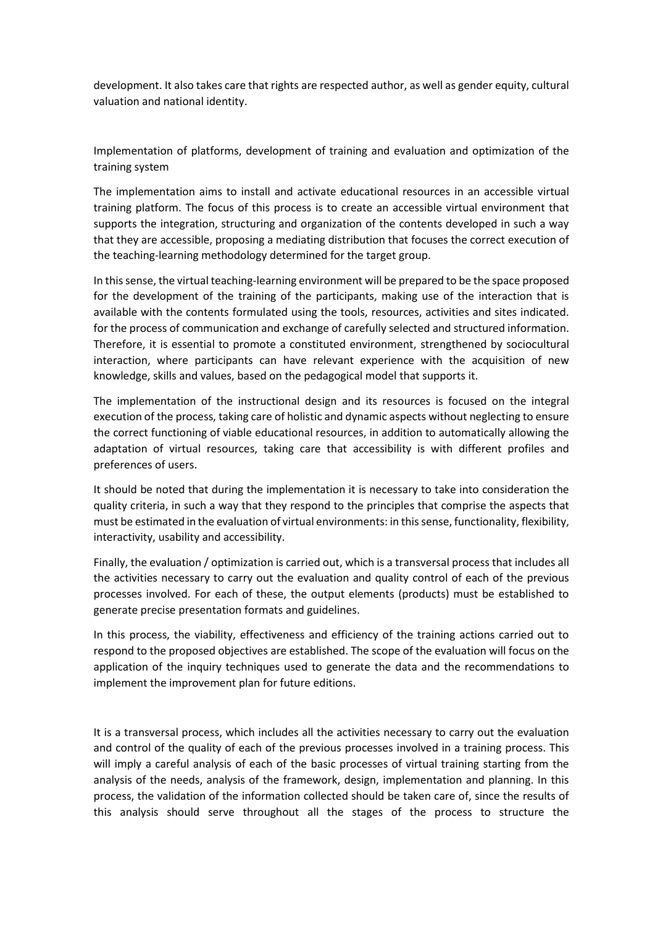development. It also takes care that rights are respected author, as well as gender equity, cultural valuation and national identity.

Implementation of platforms, development of training and evaluation and optimization of the training system

The implementation aims to install and activate educational resources in an accessible virtual training platform. The focus of this process is to create an accessible virtual environment that supports the integration, structuring and organization of the contents developed in such a way that they are accessible, proposing a mediating distribution that focuses the correct execution of the teaching-learning methodology determined for the target group.

In this sense, the virtual teaching-learning environment will be prepared to be the space proposed for the development of the training of the participants, making use of the interaction that is available with the contents formulated using the tools, resources, activities and sites indicated. for the process of communication and exchange of carefully selected and structured information. Therefore, it is essential to promote a constituted environment, strengthened by sociocultural interaction, where participants can have relevant experience with the acquisition of new knowledge, skills and values, based on the pedagogical model that supports it.

The implementation of the instructional design and its resources is focused on the integral execution of the process, taking care of holistic and dynamic aspects without neglecting to ensure the correct functioning of viable educational resources, in addition to automatically allowing the adaptation of virtual resources, taking care that accessibility is with different profiles and preferences of users.

It should be noted that during the implementation it is necessary to take into consideration the quality criteria, in such a way that they respond to the principles that comprise the aspects that must be estimated in the evaluation of virtual environments: in this sense, functionality, flexibility, interactivity, usability and accessibility.

Finally, the evaluation / optimization is carried out, which is a transversal process that includes all the activities necessary to carry out the evaluation and quality control of each of the previous processes involved. For each of these, the output elements (products) must be established to generate precise presentation formats and guidelines.

In this process, the viability, effectiveness and efficiency of the training actions carried out to respond to the proposed objectives are established. The scope of the evaluation will focus on the application of the inquiry techniques used to generate the data and the recommendations to implement the improvement plan for future editions.

It is a transversal process, which includes all the activities necessary to carry out the evaluation and control of the quality of each of the previous processes involved in a training process. This will imply a careful analysis of each of the basic processes of virtual training starting from the analysis of the needs, analysis of the framework, design, implementation and planning. In this process, the validation of the information collected should be taken care of, since the results of this analysis should serve throughout all the stages of the process to structure the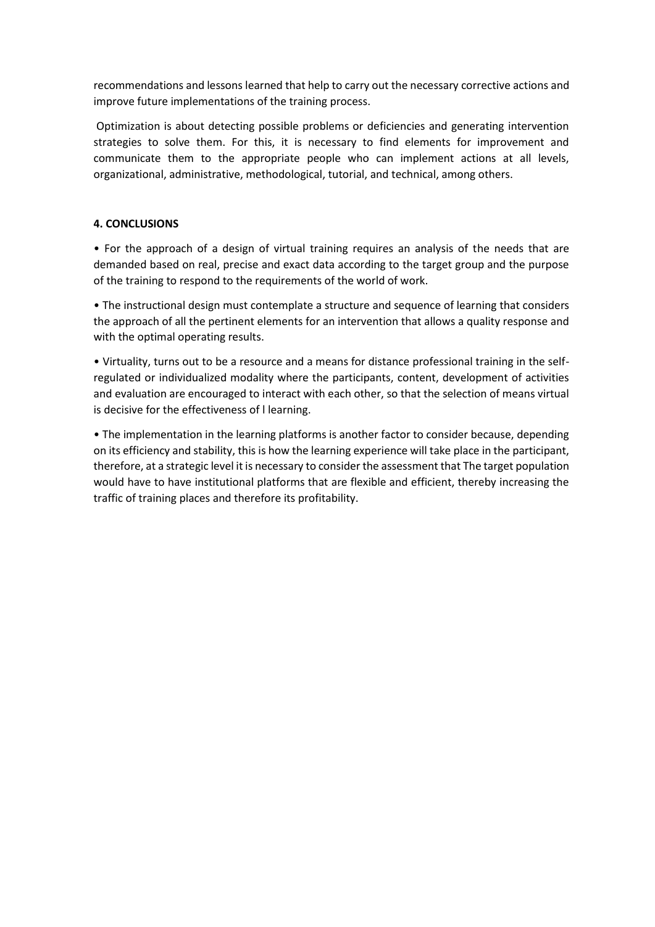recommendations and lessons learned that help to carry out the necessary corrective actions and improve future implementations of the training process.

Optimization is about detecting possible problems or deficiencies and generating intervention strategies to solve them. For this, it is necessary to find elements for improvement and communicate them to the appropriate people who can implement actions at all levels, organizational, administrative, methodological, tutorial, and technical, among others.

## **4. CONCLUSIONS**

• For the approach of a design of virtual training requires an analysis of the needs that are demanded based on real, precise and exact data according to the target group and the purpose of the training to respond to the requirements of the world of work.

• The instructional design must contemplate a structure and sequence of learning that considers the approach of all the pertinent elements for an intervention that allows a quality response and with the optimal operating results.

• Virtuality, turns out to be a resource and a means for distance professional training in the selfregulated or individualized modality where the participants, content, development of activities and evaluation are encouraged to interact with each other, so that the selection of means virtual is decisive for the effectiveness of l learning.

• The implementation in the learning platforms is another factor to consider because, depending on its efficiency and stability, this is how the learning experience will take place in the participant, therefore, at a strategic level it is necessary to consider the assessment that The target population would have to have institutional platforms that are flexible and efficient, thereby increasing the traffic of training places and therefore its profitability.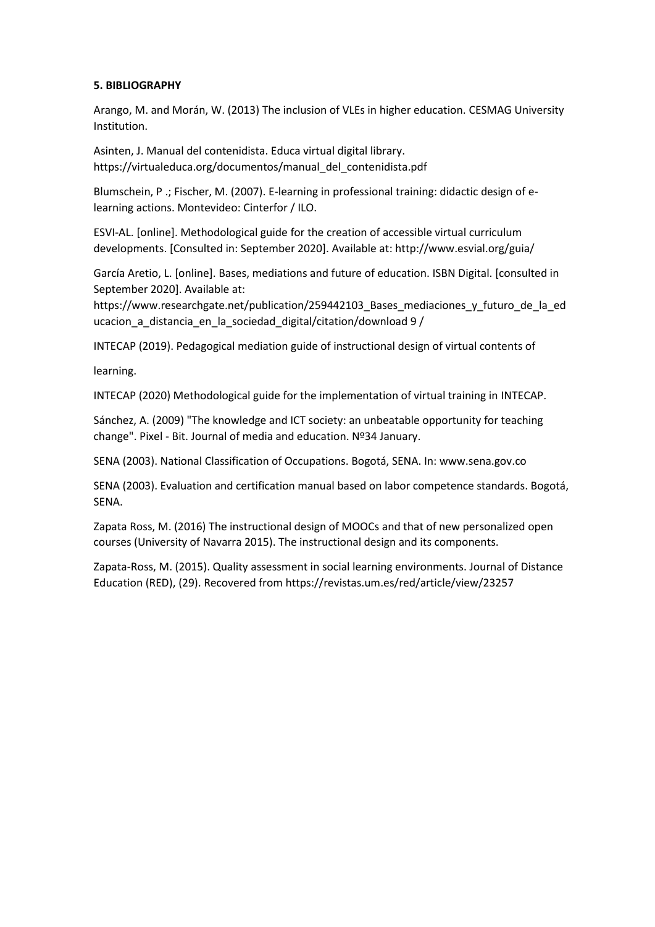## **5. BIBLIOGRAPHY**

Arango, M. and Morán, W. (2013) The inclusion of VLEs in higher education. CESMAG University Institution.

Asinten, J. Manual del contenidista. Educa virtual digital library. https://virtualeduca.org/documentos/manual\_del\_contenidista.pdf

Blumschein, P .; Fischer, M. (2007). E-learning in professional training: didactic design of elearning actions. Montevideo: Cinterfor / ILO.

ESVI-AL. [online]. Methodological guide for the creation of accessible virtual curriculum developments. [Consulted in: September 2020]. Available at: http://www.esvial.org/guia/

García Aretio, L. [online]. Bases, mediations and future of education. ISBN Digital. [consulted in September 2020]. Available at:

https://www.researchgate.net/publication/259442103\_Bases\_mediaciones\_y\_futuro\_de\_la\_ed ucacion a distancia en la sociedad digital/citation/download 9 /

INTECAP (2019). Pedagogical mediation guide of instructional design of virtual contents of

learning.

INTECAP (2020) Methodological guide for the implementation of virtual training in INTECAP.

Sánchez, A. (2009) "The knowledge and ICT society: an unbeatable opportunity for teaching change". Pixel - Bit. Journal of media and education. Nº34 January.

SENA (2003). National Classification of Occupations. Bogotá, SENA. In: www.sena.gov.co

SENA (2003). Evaluation and certification manual based on labor competence standards. Bogotá, SENA.

Zapata Ross, M. (2016) The instructional design of MOOCs and that of new personalized open courses (University of Navarra 2015). The instructional design and its components.

Zapata-Ross, M. (2015). Quality assessment in social learning environments. Journal of Distance Education (RED), (29). Recovered from https://revistas.um.es/red/article/view/23257